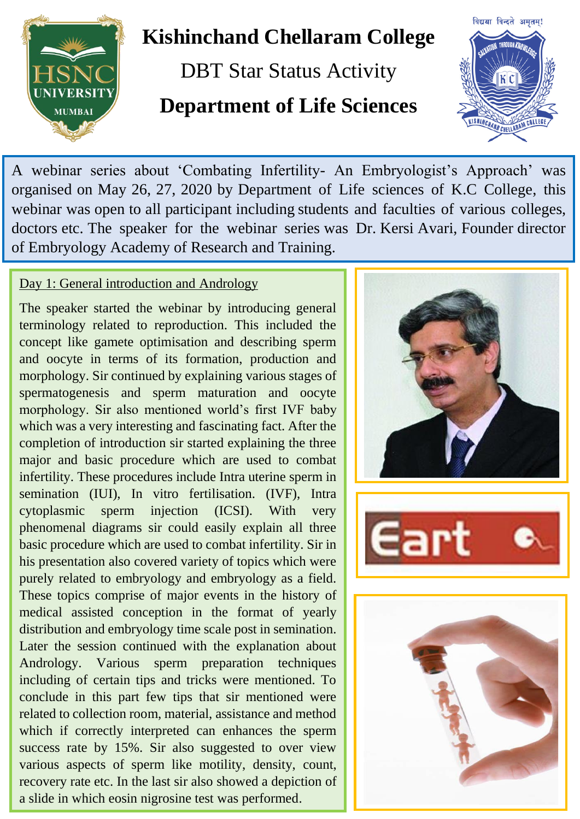

# **Kishinchand Chellaram College**

DBT Star Status Activity **Department of Life Sciences**



A webinar series about 'Combating Infertility- An Embryologist's Approach' was organised on May 26, 27, 2020 by Department of Life sciences of K.C College, this webinar was open to all participant including students and faculties of various colleges, doctors etc. The speaker for the webinar series was Dr. Kersi Avari, Founder director of Embryology Academy of Research and Training.

# Day 1: General introduction and Andrology

The speaker started the webinar by introducing general terminology related to reproduction. This included the concept like gamete optimisation and describing sperm and oocyte in terms of its formation, production and morphology. Sir continued by explaining various stages of spermatogenesis and sperm maturation and oocyte morphology. Sir also mentioned world's first IVF baby which was a very interesting and fascinating fact. After the completion of introduction sir started explaining the three major and basic procedure which are used to combat infertility. These procedures include Intra uterine sperm in semination (IUI), In vitro fertilisation. (IVF), Intra cytoplasmic sperm injection (ICSI). With very phenomenal diagrams sir could easily explain all three basic procedure which are used to combat infertility. Sir in his presentation also covered variety of topics which were purely related to embryology and embryology as a field. These topics comprise of major events in the history of medical assisted conception in the format of yearly distribution and embryology time scale post in semination. Later the session continued with the explanation about Andrology. Various sperm preparation techniques including of certain tips and tricks were mentioned. To conclude in this part few tips that sir mentioned were related to collection room, material, assistance and method which if correctly interpreted can enhances the sperm success rate by 15%. Sir also suggested to over view various aspects of sperm like motility, density, count, recovery rate etc. In the last sir also showed a depiction of a slide in which eosin nigrosine test was performed.



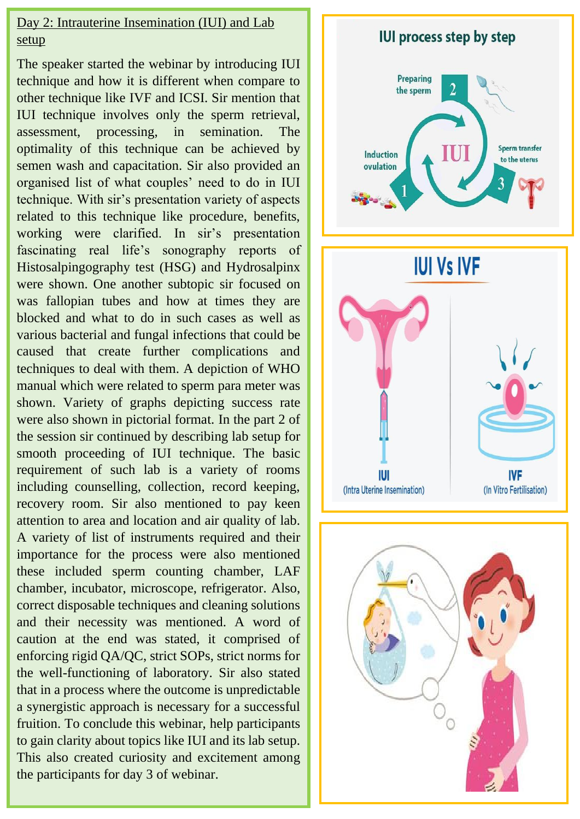### Day 2: Intrauterine Insemination (IUI) and Lab setup

The speaker started the webinar by introducing IUI technique and how it is different when compare to other technique like IVF and ICSI. Sir mention that IUI technique involves only the sperm retrieval, assessment, processing, in semination. The optimality of this technique can be achieved by semen wash and capacitation. Sir also provided an organised list of what couples' need to do in IUI technique. With sir's presentation variety of aspects related to this technique like procedure, benefits, working were clarified. In sir's presentation fascinating real life's sonography reports of Histosalpingography test (HSG) and Hydrosalpinx were shown. One another subtopic sir focused on was fallopian tubes and how at times they are blocked and what to do in such cases as well as various bacterial and fungal infections that could be caused that create further complications and techniques to deal with them. A depiction of WHO manual which were related to sperm para meter was shown. Variety of graphs depicting success rate were also shown in pictorial format. In the part 2 of the session sir continued by describing lab setup for smooth proceeding of IUI technique. The basic requirement of such lab is a variety of rooms including counselling, collection, record keeping, recovery room. Sir also mentioned to pay keen attention to area and location and air quality of lab. A variety of list of instruments required and their importance for the process were also mentioned these included sperm counting chamber, LAF chamber, incubator, microscope, refrigerator. Also, correct disposable techniques and cleaning solutions and their necessity was mentioned. A word of caution at the end was stated, it comprised of enforcing rigid QA/QC, strict SOPs, strict norms for the well-functioning of laboratory. Sir also stated that in a process where the outcome is unpredictable a synergistic approach is necessary for a successful fruition. To conclude this webinar, help participants to gain clarity about topics like IUI and its lab setup. This also created curiosity and excitement among the participants for day 3 of webinar.

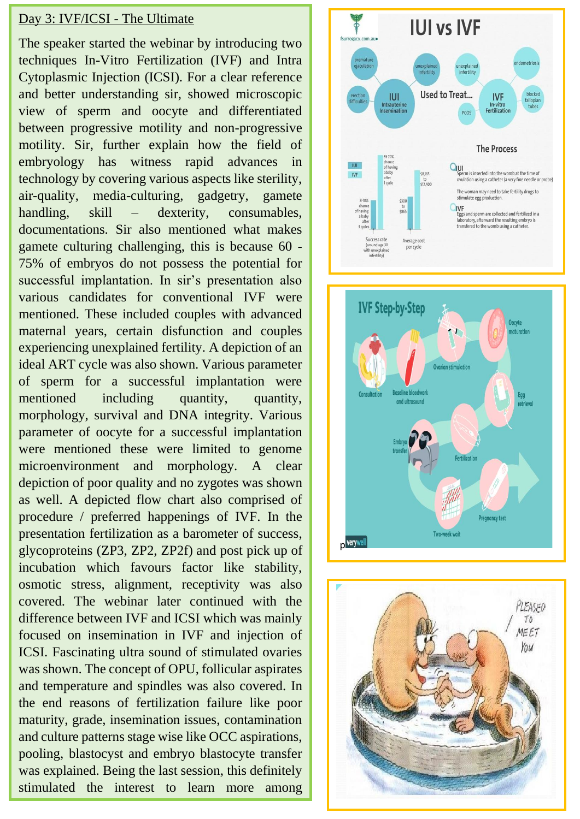#### Day 3: IVF/ICSI - The Ultimate

The speaker started the webinar by introducing two techniques In-Vitro Fertilization (IVF) and Intra Cytoplasmic Injection (ICSI). For a clear reference and better understanding sir, showed microscopic view of sperm and oocyte and differentiated between progressive motility and non-progressive motility. Sir, further explain how the field of embryology has witness rapid advances in technology by covering various aspects like sterility, air-quality, media-culturing, gadgetry, gamete handling, skill – dexterity, consumables, documentations. Sir also mentioned what makes gamete culturing challenging, this is because 60 - 75% of embryos do not possess the potential for successful implantation. In sir's presentation also various candidates for conventional IVF were mentioned. These included couples with advanced maternal years, certain disfunction and couples experiencing unexplained fertility. A depiction of an ideal ART cycle was also shown. Various parameter of sperm for a successful implantation were mentioned including quantity, quantity, morphology, survival and DNA integrity. Various parameter of oocyte for a successful implantation were mentioned these were limited to genome microenvironment and morphology. A clear depiction of poor quality and no zygotes was shown as well. A depicted flow chart also comprised of procedure / preferred happenings of IVF. In the presentation fertilization as a barometer of success, glycoproteins (ZP3, ZP2, ZP2f) and post pick up of incubation which favours factor like stability, osmotic stress, alignment, receptivity was also covered. The webinar later continued with the difference between IVF and ICSI which was mainly focused on insemination in IVF and injection of ICSI. Fascinating ultra sound of stimulated ovaries was shown. The concept of OPU, follicular aspirates and temperature and spindles was also covered. In the end reasons of fertilization failure like poor maturity, grade, insemination issues, contamination and culture patterns stage wise like OCC aspirations, pooling, blastocyst and embryo blastocyte transfer was explained. Being the last session, this definitely stimulated the interest to learn more among

participants.<br>Participants